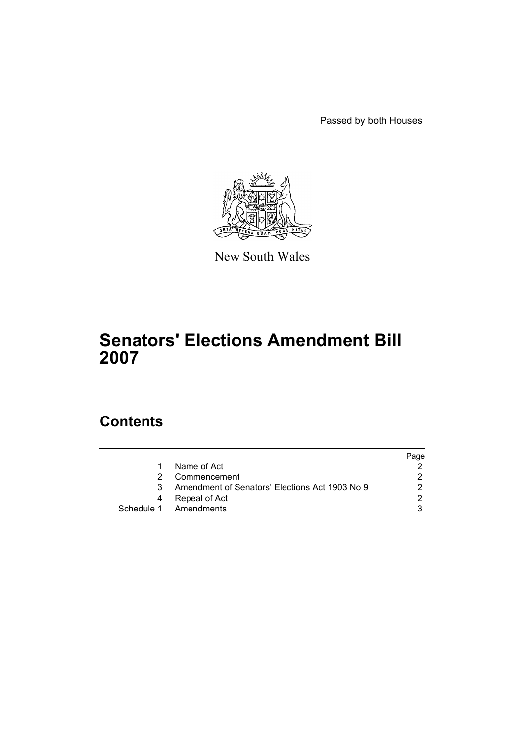Passed by both Houses



New South Wales

# **Senators' Elections Amendment Bill 2007**

## **Contents**

|    |                                                | Page |
|----|------------------------------------------------|------|
| 1  | Name of Act                                    |      |
|    | Commencement                                   |      |
| 3. | Amendment of Senators' Elections Act 1903 No 9 |      |
| 4  | Repeal of Act                                  | ົ    |
|    | Schedule 1 Amendments                          |      |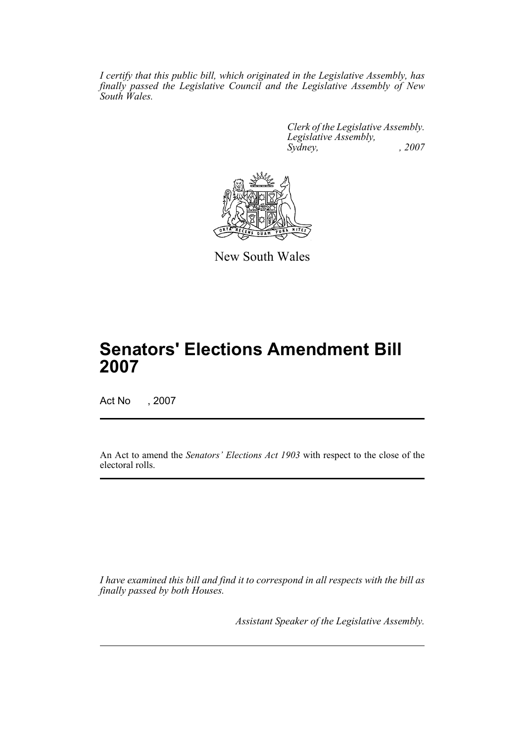*I certify that this public bill, which originated in the Legislative Assembly, has finally passed the Legislative Council and the Legislative Assembly of New South Wales.*

> *Clerk of the Legislative Assembly. Legislative Assembly, Sydney, , 2007*



New South Wales

# **Senators' Elections Amendment Bill 2007**

Act No , 2007

An Act to amend the *Senators' Elections Act 1903* with respect to the close of the electoral rolls.

*I have examined this bill and find it to correspond in all respects with the bill as finally passed by both Houses.*

*Assistant Speaker of the Legislative Assembly.*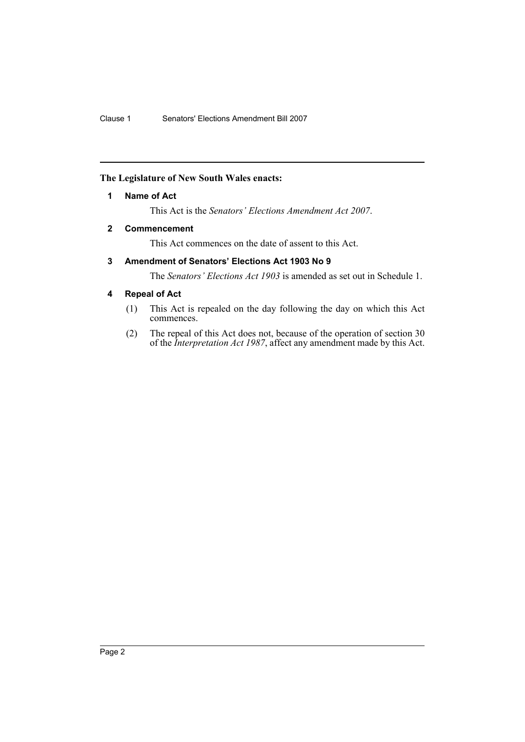#### <span id="page-2-0"></span>**The Legislature of New South Wales enacts:**

#### **1 Name of Act**

This Act is the *Senators' Elections Amendment Act 2007*.

#### <span id="page-2-1"></span>**2 Commencement**

This Act commences on the date of assent to this Act.

#### <span id="page-2-2"></span>**3 Amendment of Senators' Elections Act 1903 No 9**

The *Senators' Elections Act 1903* is amended as set out in Schedule 1.

#### <span id="page-2-3"></span>**4 Repeal of Act**

- (1) This Act is repealed on the day following the day on which this Act commences.
- (2) The repeal of this Act does not, because of the operation of section 30 of the *Interpretation Act 1987*, affect any amendment made by this Act.